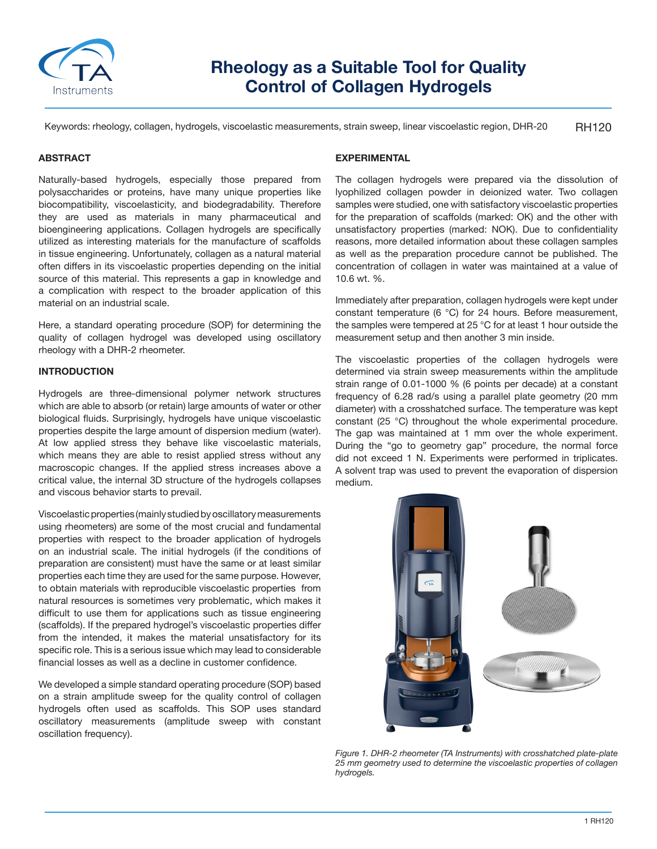

# **Rheology as a Suitable Tool for Quality Control of Collagen Hydrogels**

RH120 Keywords: rheology, collagen, hydrogels, viscoelastic measurements, strain sweep, linear viscoelastic region, DHR-20

### **ABSTRACT**

Naturally-based hydrogels, especially those prepared from polysaccharides or proteins, have many unique properties like biocompatibility, viscoelasticity, and biodegradability. Therefore they are used as materials in many pharmaceutical and bioengineering applications. Collagen hydrogels are specifically utilized as interesting materials for the manufacture of scaffolds in tissue engineering. Unfortunately, collagen as a natural material often differs in its viscoelastic properties depending on the initial source of this material. This represents a gap in knowledge and a complication with respect to the broader application of this material on an industrial scale.

Here, a standard operating procedure (SOP) for determining the quality of collagen hydrogel was developed using oscillatory rheology with a DHR-2 rheometer.

## **INTRODUCTION**

Hydrogels are three-dimensional polymer network structures which are able to absorb (or retain) large amounts of water or other biological fluids. Surprisingly, hydrogels have unique viscoelastic properties despite the large amount of dispersion medium (water). At low applied stress they behave like viscoelastic materials, which means they are able to resist applied stress without any macroscopic changes. If the applied stress increases above a critical value, the internal 3D structure of the hydrogels collapses and viscous behavior starts to prevail.

Viscoelastic properties (mainly studied by oscillatory measurements using rheometers) are some of the most crucial and fundamental properties with respect to the broader application of hydrogels on an industrial scale. The initial hydrogels (if the conditions of preparation are consistent) must have the same or at least similar properties each time they are used for the same purpose. However, to obtain materials with reproducible viscoelastic properties from natural resources is sometimes very problematic, which makes it difficult to use them for applications such as tissue engineering (scaffolds). If the prepared hydrogel's viscoelastic properties differ from the intended, it makes the material unsatisfactory for its specific role. This is a serious issue which may lead to considerable financial losses as well as a decline in customer confidence.

We developed a simple standard operating procedure (SOP) based on a strain amplitude sweep for the quality control of collagen hydrogels often used as scaffolds. This SOP uses standard oscillatory measurements (amplitude sweep with constant oscillation frequency).

## **EXPERIMENTAL**

The collagen hydrogels were prepared via the dissolution of lyophilized collagen powder in deionized water. Two collagen samples were studied, one with satisfactory viscoelastic properties for the preparation of scaffolds (marked: OK) and the other with unsatisfactory properties (marked: NOK). Due to confidentiality reasons, more detailed information about these collagen samples as well as the preparation procedure cannot be published. The concentration of collagen in water was maintained at a value of 10.6 wt. %.

Immediately after preparation, collagen hydrogels were kept under constant temperature (6 °C) for 24 hours. Before measurement, the samples were tempered at 25 °C for at least 1 hour outside the measurement setup and then another 3 min inside.

The viscoelastic properties of the collagen hydrogels were determined via strain sweep measurements within the amplitude strain range of 0.01-1000 % (6 points per decade) at a constant frequency of 6.28 rad/s using a parallel plate geometry (20 mm diameter) with a crosshatched surface. The temperature was kept constant (25 °C) throughout the whole experimental procedure. The gap was maintained at 1 mm over the whole experiment. During the "go to geometry gap" procedure, the normal force did not exceed 1 N. Experiments were performed in triplicates. A solvent trap was used to prevent the evaporation of dispersion medium.



*Figure 1. DHR-2 rheometer (TA Instruments) with crosshatched plate-plate 25 mm geometry used to determine the viscoelastic properties of collagen hydrogels.*